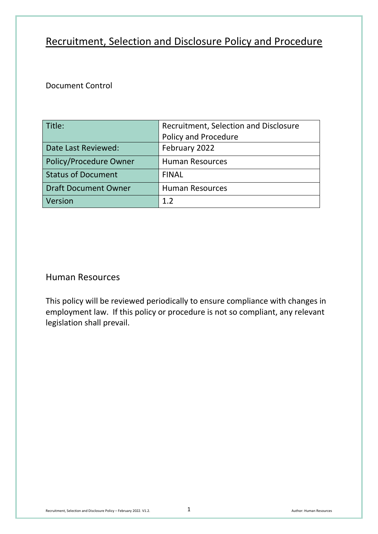# Recruitment, Selection and Disclosure Policy and Procedure

# Document Control

| Title:                      | Recruitment, Selection and Disclosure |
|-----------------------------|---------------------------------------|
|                             | Policy and Procedure                  |
| Date Last Reviewed:         | February 2022                         |
| Policy/Procedure Owner      | <b>Human Resources</b>                |
| <b>Status of Document</b>   | <b>FINAL</b>                          |
| <b>Draft Document Owner</b> | <b>Human Resources</b>                |
| Version                     | 12                                    |

# Human Resources

This policy will be reviewed periodically to ensure compliance with changes in employment law. If this policy or procedure is not so compliant, any relevant legislation shall prevail.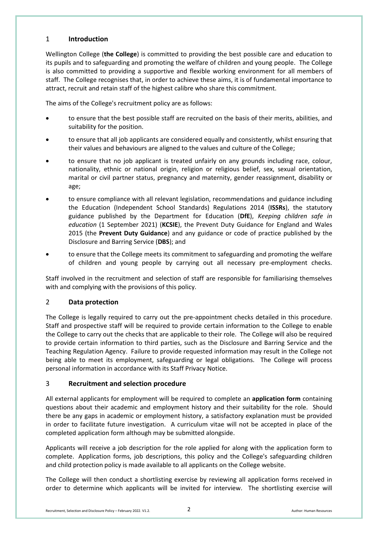# 1 **Introduction**

Wellington College (**the College**) is committed to providing the best possible care and education to its pupils and to safeguarding and promoting the welfare of children and young people. The College is also committed to providing a supportive and flexible working environment for all members of staff. The College recognises that, in order to achieve these aims, it is of fundamental importance to attract, recruit and retain staff of the highest calibre who share this commitment.

The aims of the College's recruitment policy are as follows:

- to ensure that the best possible staff are recruited on the basis of their merits, abilities, and suitability for the position.
- to ensure that all job applicants are considered equally and consistently, whilst ensuring that their values and behaviours are aligned to the values and culture of the College;
- to ensure that no job applicant is treated unfairly on any grounds including race, colour, nationality, ethnic or national origin, religion or religious belief, sex, sexual orientation, marital or civil partner status, pregnancy and maternity, gender reassignment, disability or age;
- to ensure compliance with all relevant legislation, recommendations and guidance including the Education (Independent School Standards) Regulations 2014 (**ISSRs**), the statutory guidance published by the Department for Education (**DfE**), *Keeping children safe in education* (1 September 2021) (**KCSIE**), the Prevent Duty Guidance for England and Wales 2015 (the **Prevent Duty Guidance**) and any guidance or code of practice published by the Disclosure and Barring Service (**DBS**); and
- to ensure that the College meets its commitment to safeguarding and promoting the welfare of children and young people by carrying out all necessary pre-employment checks.

Staff involved in the recruitment and selection of staff are responsible for familiarising themselves with and complying with the provisions of this policy.

# 2 **Data protection**

The College is legally required to carry out the pre-appointment checks detailed in this procedure. Staff and prospective staff will be required to provide certain information to the College to enable the College to carry out the checks that are applicable to their role. The College will also be required to provide certain information to third parties, such as the Disclosure and Barring Service and the Teaching Regulation Agency. Failure to provide requested information may result in the College not being able to meet its employment, safeguarding or legal obligations. The College will process personal information in accordance with its Staff Privacy Notice.

# 3 **Recruitment and selection procedure**

All external applicants for employment will be required to complete an **application form** containing questions about their academic and employment history and their suitability for the role. Should there be any gaps in academic or employment history, a satisfactory explanation must be provided in order to facilitate future investigation. A curriculum vitae will not be accepted in place of the completed application form although may be submitted alongside.

Applicants will receive a job description for the role applied for along with the application form to complete. Application forms, job descriptions, this policy and the College's safeguarding children and child protection policy is made available to all applicants on the College website.

The College will then conduct a shortlisting exercise by reviewing all application forms received in order to determine which applicants will be invited for interview. The shortlisting exercise will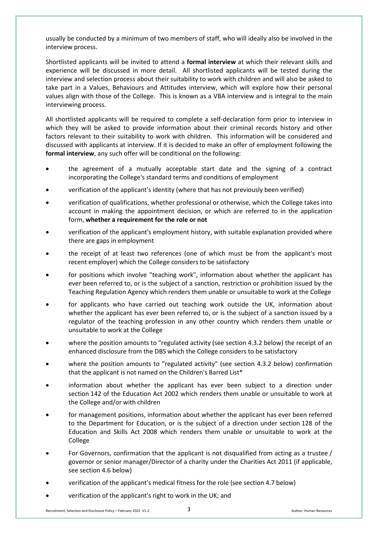usually be conducted by a minimum of two members of staff, who will ideally also be involved in the interview process.

Shortlisted applicants will be invited to attend a **formal interview** at which their relevant skills and experience will be discussed in more detail. All shortlisted applicants will be tested during the interview and selection process about their suitability to work with children and will also be asked to take part in a Values, Behaviours and Attitudes interview, which will explore how their personal values align with those of the College. This is known as a VBA interview and is integral to the main interviewing process.

All shortlisted applicants will be required to complete a self-declaration form prior to interview in which they will be asked to provide information about their criminal records history and other factors relevant to their suitability to work with children. This information will be considered and discussed with applicants at interview. If it is decided to make an offer of employment following the **formal interview**, any such offer will be conditional on the following:

- the agreement of a mutually acceptable start date and the signing of a contract incorporating the College's standard terms and conditions of employment
- verification of the applicant's identity (where that has not previously been verified)
- verification of qualifications, whether professional or otherwise, which the College takes into account in making the appointment decision, or which are referred to in the application form, **whether a requirement for the role or not**
- verification of the applicant's employment history, with suitable explanation provided where there are gaps in employment
- the receipt of at least two references (one of which must be from the applicant's most recent employer) which the College considers to be satisfactory
- for positions which involve "teaching work", information about whether the applicant has ever been referred to, or is the subject of a sanction, restriction or prohibition issued by the Teaching Regulation Agency which renders them unable or unsuitable to work at the College
- for applicants who have carried out teaching work outside the UK, information about whether the applicant has ever been referred to, or is the subject of a sanction issued by a regulator of the teaching profession in any other country which renders them unable or unsuitable to work at the College
- where the position amounts to "regulated activity (see section 4.3.2 below) the receipt of an enhanced disclosure from the DBS which the College considers to be satisfactory
- where the position amounts to "regulated activity" (see section 4.3.2 below) confirmation that the applicant is not named on the Children's Barred List\*
- information about whether the applicant has ever been subject to a direction under section 142 of the Education Act 2002 which renders them unable or unsuitable to work at the College and/or with children
- for management positions, information about whether the applicant has ever been referred to the Department for Education, or is the subject of a direction under section 128 of the Education and Skills Act 2008 which renders them unable or unsuitable to work at the College
- For Governors, confirmation that the applicant is not disqualified from acting as a trustee / governor or senior manager/Director of a charity under the Charities Act 2011 (if applicable, see section 4.6 below)
- verification of the applicant's medical fitness for the role (see section 4.7 below)
- verification of the applicant's right to work in the UK; and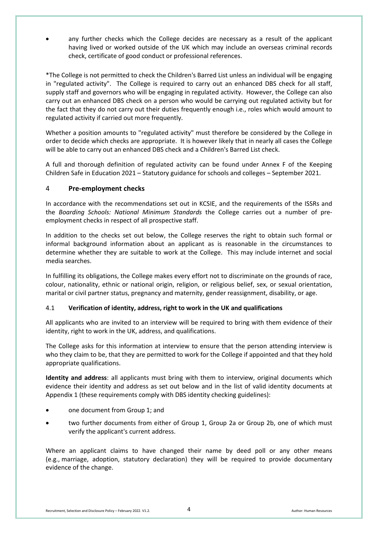• any further checks which the College decides are necessary as a result of the applicant having lived or worked outside of the UK which may include an overseas criminal records check, certificate of good conduct or professional references.

\*The College is not permitted to check the Children's Barred List unless an individual will be engaging in "regulated activity". The College is required to carry out an enhanced DBS check for all staff, supply staff and governors who will be engaging in regulated activity. However, the College can also carry out an enhanced DBS check on a person who would be carrying out regulated activity but for the fact that they do not carry out their duties frequently enough i.e., roles which would amount to regulated activity if carried out more frequently.

Whether a position amounts to "regulated activity" must therefore be considered by the College in order to decide which checks are appropriate. It is however likely that in nearly all cases the College will be able to carry out an enhanced DBS check and a Children's Barred List check.

A full and thorough definition of regulated activity can be found under Annex F of the Keeping Children Safe in Education 2021 – Statutory guidance for schools and colleges – September 2021.

# 4 **Pre-employment checks**

In accordance with the recommendations set out in KCSIE, and the requirements of the ISSRs and the *Boarding Schools: National Minimum Standards* the College carries out a number of preemployment checks in respect of all prospective staff.

In addition to the checks set out below, the College reserves the right to obtain such formal or informal background information about an applicant as is reasonable in the circumstances to determine whether they are suitable to work at the College. This may include internet and social media searches.

In fulfilling its obligations, the College makes every effort not to discriminate on the grounds of race, colour, nationality, ethnic or national origin, religion, or religious belief, sex, or sexual orientation, marital or civil partner status, pregnancy and maternity, gender reassignment, disability, or age.

# 4.1 **Verification of identity, address, right to work in the UK and qualifications**

All applicants who are invited to an interview will be required to bring with them evidence of their identity, right to work in the UK, address, and qualifications.

The College asks for this information at interview to ensure that the person attending interview is who they claim to be, that they are permitted to work for the College if appointed and that they hold appropriate qualifications.

**Identity and address**: all applicants must bring with them to interview, original documents which evidence their identity and address as set out below and in the list of valid identity documents at Appendix 1 (these requirements comply with DBS identity checking guidelines):

- one document from Group 1; and
- two further documents from either of Group 1, Group 2a or Group 2b, one of which must verify the applicant's current address.

Where an applicant claims to have changed their name by deed poll or any other means (e.g., marriage, adoption, statutory declaration) they will be required to provide documentary evidence of the change.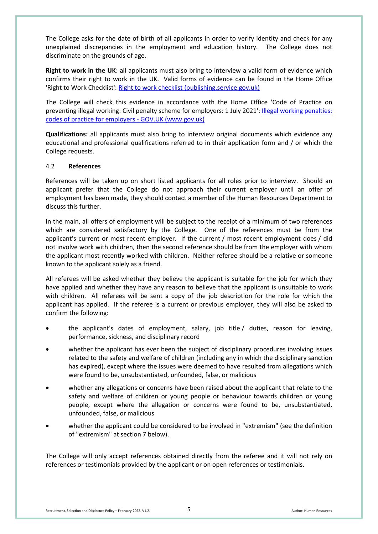The College asks for the date of birth of all applicants in order to verify identity and check for any unexplained discrepancies in the employment and education history. The College does not discriminate on the grounds of age.

**Right to work in the UK**: all applicants must also bring to interview a valid form of evidence which confirms their right to work in the UK. Valid forms of evidence can be found in the Home Office 'Right to Work Checklist'[: Right to work checklist \(publishing.service.gov.uk\)](https://assets.publishing.service.gov.uk/government/uploads/system/uploads/attachment_data/file/998170/6.7578_-_HO_-_PBS_Employers_Right_To_Work_Assets_V3.pdf)

The College will check this evidence in accordance with the Home Office 'Code of Practice on preventing illegal working: Civil penalty scheme for employers: 1 July 2021': [Illegal working penalties:](https://www.gov.uk/government/publications/illegal-working-penalties-codes-of-practice-for-employers)  [codes of practice for employers -](https://www.gov.uk/government/publications/illegal-working-penalties-codes-of-practice-for-employers) GOV.UK (www.gov.uk)

**Qualifications:** all applicants must also bring to interview original documents which evidence any educational and professional qualifications referred to in their application form and / or which the College requests.

#### 4.2 **References**

References will be taken up on short listed applicants for all roles prior to interview. Should an applicant prefer that the College do not approach their current employer until an offer of employment has been made, they should contact a member of the Human Resources Department to discuss this further.

In the main, all offers of employment will be subject to the receipt of a minimum of two references which are considered satisfactory by the College. One of the references must be from the applicant's current or most recent employer. If the current / most recent employment does / did not involve work with children, then the second reference should be from the employer with whom the applicant most recently worked with children. Neither referee should be a relative or someone known to the applicant solely as a friend.

All referees will be asked whether they believe the applicant is suitable for the job for which they have applied and whether they have any reason to believe that the applicant is unsuitable to work with children. All referees will be sent a copy of the job description for the role for which the applicant has applied. If the referee is a current or previous employer, they will also be asked to confirm the following:

- the applicant's dates of employment, salary, job title / duties, reason for leaving, performance, sickness, and disciplinary record
- whether the applicant has ever been the subject of disciplinary procedures involving issues related to the safety and welfare of children (including any in which the disciplinary sanction has expired), except where the issues were deemed to have resulted from allegations which were found to be, unsubstantiated, unfounded, false, or malicious
- whether any allegations or concerns have been raised about the applicant that relate to the safety and welfare of children or young people or behaviour towards children or young people, except where the allegation or concerns were found to be, unsubstantiated, unfounded, false, or malicious
- whether the applicant could be considered to be involved in "extremism" (see the definition of "extremism" at section 7 below).

The College will only accept references obtained directly from the referee and it will not rely on references or testimonials provided by the applicant or on open references or testimonials.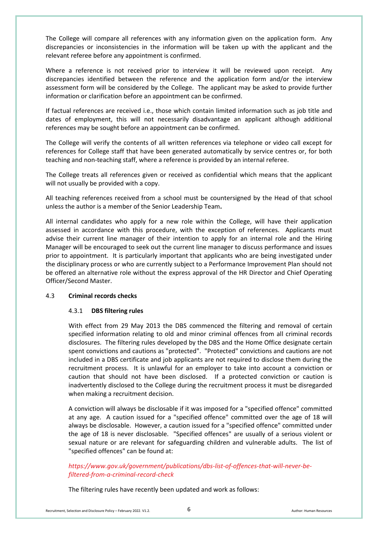The College will compare all references with any information given on the application form. Any discrepancies or inconsistencies in the information will be taken up with the applicant and the relevant referee before any appointment is confirmed.

Where a reference is not received prior to interview it will be reviewed upon receipt. Any discrepancies identified between the reference and the application form and/or the interview assessment form will be considered by the College. The applicant may be asked to provide further information or clarification before an appointment can be confirmed.

If factual references are received i.e., those which contain limited information such as job title and dates of employment, this will not necessarily disadvantage an applicant although additional references may be sought before an appointment can be confirmed.

The College will verify the contents of all written references via telephone or video call except for references for College staff that have been generated automatically by service centres or, for both teaching and non-teaching staff, where a reference is provided by an internal referee.

The College treats all references given or received as confidential which means that the applicant will not usually be provided with a copy.

All teaching references received from a school must be countersigned by the Head of that school unless the author is a member of the Senior Leadership Team**.**

All internal candidates who apply for a new role within the College, will have their application assessed in accordance with this procedure, with the exception of references. Applicants must advise their current line manager of their intention to apply for an internal role and the Hiring Manager will be encouraged to seek out the current line manager to discuss performance and issues prior to appointment. It is particularly important that applicants who are being investigated under the disciplinary process or who are currently subject to a Performance Improvement Plan should not be offered an alternative role without the express approval of the HR Director and Chief Operating Officer/Second Master.

#### 4.3 **Criminal records checks**

#### 4.3.1 **DBS filtering rules**

With effect from 29 May 2013 the DBS commenced the filtering and removal of certain specified information relating to old and minor criminal offences from all criminal records disclosures. The filtering rules developed by the DBS and the Home Office designate certain spent convictions and cautions as "protected". "Protected" convictions and cautions are not included in a DBS certificate and job applicants are not required to disclose them during the recruitment process. It is unlawful for an employer to take into account a conviction or caution that should not have been disclosed. If a protected conviction or caution is inadvertently disclosed to the College during the recruitment process it must be disregarded when making a recruitment decision.

A conviction will always be disclosable if it was imposed for a "specified offence" committed at any age. A caution issued for a "specified offence" committed over the age of 18 will always be disclosable. However, a caution issued for a "specified offence" committed under the age of 18 is never disclosable. "Specified offences" are usually of a serious violent or sexual nature or are relevant for safeguarding children and vulnerable adults. The list of "specified offences" can be found at:

# *[https://www.gov.uk/government/publications/dbs-list-of-offences-that-will-never-be](https://www.gov.uk/government/publications/dbs-list-of-offences-that-will-never-be-filtered-from-a-criminal-record-check)[filtered-from-a-criminal-record-check](https://www.gov.uk/government/publications/dbs-list-of-offences-that-will-never-be-filtered-from-a-criminal-record-check)*

The filtering rules have recently been updated and work as follows: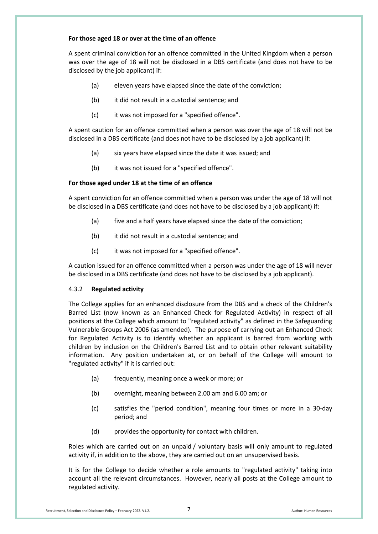#### **For those aged 18 or over at the time of an offence**

A spent criminal conviction for an offence committed in the United Kingdom when a person was over the age of 18 will not be disclosed in a DBS certificate (and does not have to be disclosed by the job applicant) if:

- (a) eleven years have elapsed since the date of the conviction;
- (b) it did not result in a custodial sentence; and
- (c) it was not imposed for a "specified offence".

A spent caution for an offence committed when a person was over the age of 18 will not be disclosed in a DBS certificate (and does not have to be disclosed by a job applicant) if:

- (a) six years have elapsed since the date it was issued; and
- (b) it was not issued for a "specified offence".

#### **For those aged under 18 at the time of an offence**

A spent conviction for an offence committed when a person was under the age of 18 will not be disclosed in a DBS certificate (and does not have to be disclosed by a job applicant) if:

- (a) five and a half years have elapsed since the date of the conviction;
- (b) it did not result in a custodial sentence; and
- (c) it was not imposed for a "specified offence".

A caution issued for an offence committed when a person was under the age of 18 will never be disclosed in a DBS certificate (and does not have to be disclosed by a job applicant).

#### 4.3.2 **Regulated activity**

The College applies for an enhanced disclosure from the DBS and a check of the Children's Barred List (now known as an Enhanced Check for Regulated Activity) in respect of all positions at the College which amount to "regulated activity" as defined in the Safeguarding Vulnerable Groups Act 2006 (as amended). The purpose of carrying out an Enhanced Check for Regulated Activity is to identify whether an applicant is barred from working with children by inclusion on the Children's Barred List and to obtain other relevant suitability information. Any position undertaken at, or on behalf of the College will amount to "regulated activity" if it is carried out:

- (a) frequently, meaning once a week or more; or
- (b) overnight, meaning between 2.00 am and 6.00 am; or
- (c) satisfies the "period condition", meaning four times or more in a 30-day period; and
- (d) provides the opportunity for contact with children.

Roles which are carried out on an unpaid / voluntary basis will only amount to regulated activity if, in addition to the above, they are carried out on an unsupervised basis.

It is for the College to decide whether a role amounts to "regulated activity" taking into account all the relevant circumstances. However, nearly all posts at the College amount to regulated activity.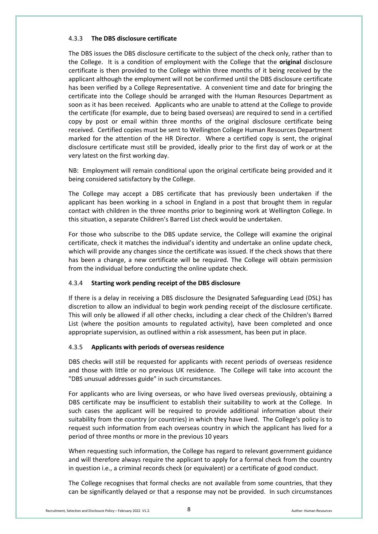#### 4.3.3 **The DBS disclosure certificate**

The DBS issues the DBS disclosure certificate to the subject of the check only, rather than to the College. It is a condition of employment with the College that the **original** disclosure certificate is then provided to the College within three months of it being received by the applicant although the employment will not be confirmed until the DBS disclosure certificate has been verified by a College Representative. A convenient time and date for bringing the certificate into the College should be arranged with the Human Resources Department as soon as it has been received. Applicants who are unable to attend at the College to provide the certificate (for example, due to being based overseas) are required to send in a certified copy by post or email within three months of the original disclosure certificate being received. Certified copies must be sent to Wellington College Human Resources Department marked for the attention of the HR Director. Where a certified copy is sent, the original disclosure certificate must still be provided, ideally prior to the first day of work or at the very latest on the first working day.

NB: Employment will remain conditional upon the original certificate being provided and it being considered satisfactory by the College.

The College may accept a DBS certificate that has previously been undertaken if the applicant has been working in a school in England in a post that brought them in regular contact with children in the three months prior to beginning work at Wellington College. In this situation, a separate Children's Barred List check would be undertaken.

For those who subscribe to the DBS update service, the College will examine the original certificate, check it matches the individual's identity and undertake an online update check, which will provide any changes since the certificate was issued. If the check shows that there has been a change, a new certificate will be required. The College will obtain permission from the individual before conducting the online update check.

# 4.3.4 **Starting work pending receipt of the DBS disclosure**

If there is a delay in receiving a DBS disclosure the Designated Safeguarding Lead (DSL) has discretion to allow an individual to begin work pending receipt of the disclosure certificate. This will only be allowed if all other checks, including a clear check of the Children's Barred List (where the position amounts to regulated activity), have been completed and once appropriate supervision, as outlined within a risk assessment, has been put in place.

#### 4.3.5 **Applicants with periods of overseas residence**

DBS checks will still be requested for applicants with recent periods of overseas residence and those with little or no previous UK residence. The College will take into account the "DBS unusual addresses guide" in such circumstances.

For applicants who are living overseas, or who have lived overseas previously, obtaining a DBS certificate may be insufficient to establish their suitability to work at the College. In such cases the applicant will be required to provide additional information about their suitability from the country (or countries) in which they have lived. The College's policy is to request such information from each overseas country in which the applicant has lived for a period of three months or more in the previous 10 years

When requesting such information, the College has regard to relevant government guidance and will therefore always require the applicant to apply for a formal check from the country in question i.e., a criminal records check (or equivalent) or a certificate of good conduct.

The College recognises that formal checks are not available from some countries, that they can be significantly delayed or that a response may not be provided. In such circumstances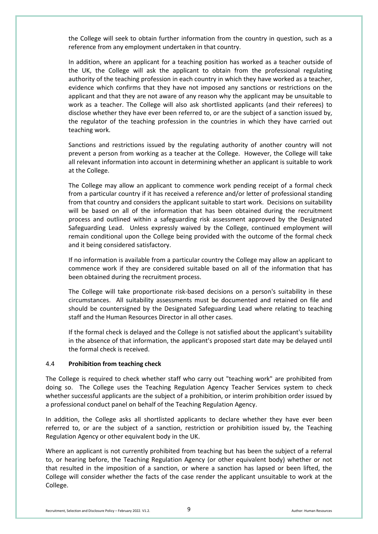the College will seek to obtain further information from the country in question, such as a reference from any employment undertaken in that country.

In addition, where an applicant for a teaching position has worked as a teacher outside of the UK, the College will ask the applicant to obtain from the professional regulating authority of the teaching profession in each country in which they have worked as a teacher, evidence which confirms that they have not imposed any sanctions or restrictions on the applicant and that they are not aware of any reason why the applicant may be unsuitable to work as a teacher. The College will also ask shortlisted applicants (and their referees) to disclose whether they have ever been referred to, or are the subject of a sanction issued by, the regulator of the teaching profession in the countries in which they have carried out teaching work.

Sanctions and restrictions issued by the regulating authority of another country will not prevent a person from working as a teacher at the College. However, the College will take all relevant information into account in determining whether an applicant is suitable to work at the College.

The College may allow an applicant to commence work pending receipt of a formal check from a particular country if it has received a reference and/or letter of professional standing from that country and considers the applicant suitable to start work. Decisions on suitability will be based on all of the information that has been obtained during the recruitment process and outlined within a safeguarding risk assessment approved by the Designated Safeguarding Lead. Unless expressly waived by the College, continued employment will remain conditional upon the College being provided with the outcome of the formal check and it being considered satisfactory.

If no information is available from a particular country the College may allow an applicant to commence work if they are considered suitable based on all of the information that has been obtained during the recruitment process.

The College will take proportionate risk-based decisions on a person's suitability in these circumstances. All suitability assessments must be documented and retained on file and should be countersigned by the Designated Safeguarding Lead where relating to teaching staff and the Human Resources Director in all other cases.

If the formal check is delayed and the College is not satisfied about the applicant's suitability in the absence of that information, the applicant's proposed start date may be delayed until the formal check is received.

#### 4.4 **Prohibition from teaching check**

The College is required to check whether staff who carry out "teaching work" are prohibited from doing so. The College uses the Teaching Regulation Agency Teacher Services system to check whether successful applicants are the subject of a prohibition, or interim prohibition order issued by a professional conduct panel on behalf of the Teaching Regulation Agency.

In addition, the College asks all shortlisted applicants to declare whether they have ever been referred to, or are the subject of a sanction, restriction or prohibition issued by, the Teaching Regulation Agency or other equivalent body in the UK.

Where an applicant is not currently prohibited from teaching but has been the subject of a referral to, or hearing before, the Teaching Regulation Agency (or other equivalent body) whether or not that resulted in the imposition of a sanction, or where a sanction has lapsed or been lifted, the College will consider whether the facts of the case render the applicant unsuitable to work at the College.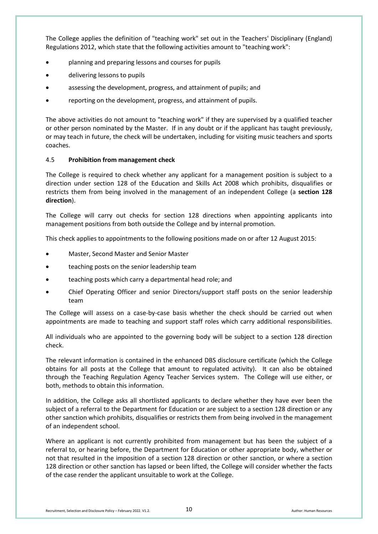The College applies the definition of "teaching work" set out in the Teachers' Disciplinary (England) Regulations 2012, which state that the following activities amount to "teaching work":

- planning and preparing lessons and courses for pupils
- delivering lessons to pupils
- assessing the development, progress, and attainment of pupils; and
- reporting on the development, progress, and attainment of pupils.

The above activities do not amount to "teaching work" if they are supervised by a qualified teacher or other person nominated by the Master. If in any doubt or if the applicant has taught previously, or may teach in future, the check will be undertaken, including for visiting music teachers and sports coaches.

#### 4.5 **Prohibition from management check**

The College is required to check whether any applicant for a management position is subject to a direction under section 128 of the Education and Skills Act 2008 which prohibits, disqualifies or restricts them from being involved in the management of an independent College (a **section 128 direction**).

The College will carry out checks for section 128 directions when appointing applicants into management positions from both outside the College and by internal promotion.

This check applies to appointments to the following positions made on or after 12 August 2015:

- Master, Second Master and Senior Master
- teaching posts on the senior leadership team
- teaching posts which carry a departmental head role; and
- Chief Operating Officer and senior Directors/support staff posts on the senior leadership team

The College will assess on a case-by-case basis whether the check should be carried out when appointments are made to teaching and support staff roles which carry additional responsibilities.

All individuals who are appointed to the governing body will be subject to a section 128 direction check.

The relevant information is contained in the enhanced DBS disclosure certificate (which the College obtains for all posts at the College that amount to regulated activity). It can also be obtained through the Teaching Regulation Agency Teacher Services system. The College will use either, or both, methods to obtain this information.

In addition, the College asks all shortlisted applicants to declare whether they have ever been the subject of a referral to the Department for Education or are subject to a section 128 direction or any other sanction which prohibits, disqualifies or restricts them from being involved in the management of an independent school.

Where an applicant is not currently prohibited from management but has been the subject of a referral to, or hearing before, the Department for Education or other appropriate body, whether or not that resulted in the imposition of a section 128 direction or other sanction, or where a section 128 direction or other sanction has lapsed or been lifted, the College will consider whether the facts of the case render the applicant unsuitable to work at the College.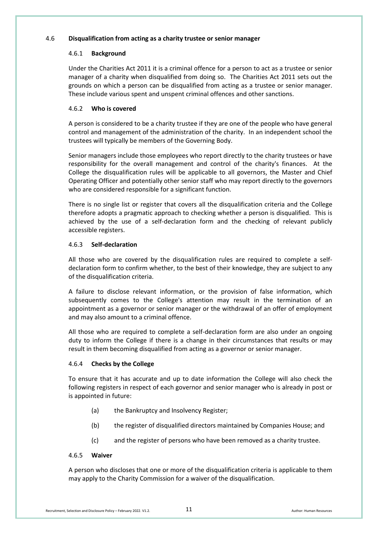#### 4.6 **Disqualification from acting as a charity trustee or senior manager**

#### 4.6.1 **Background**

Under the Charities Act 2011 it is a criminal offence for a person to act as a trustee or senior manager of a charity when disqualified from doing so. The Charities Act 2011 sets out the grounds on which a person can be disqualified from acting as a trustee or senior manager. These include various spent and unspent criminal offences and other sanctions.

#### 4.6.2 **Who is covered**

A person is considered to be a charity trustee if they are one of the people who have general control and management of the administration of the charity. In an independent school the trustees will typically be members of the Governing Body.

Senior managers include those employees who report directly to the charity trustees or have responsibility for the overall management and control of the charity's finances. At the College the disqualification rules will be applicable to all governors, the Master and Chief Operating Officer and potentially other senior staff who may report directly to the governors who are considered responsible for a significant function.

There is no single list or register that covers all the disqualification criteria and the College therefore adopts a pragmatic approach to checking whether a person is disqualified. This is achieved by the use of a self-declaration form and the checking of relevant publicly accessible registers.

#### 4.6.3 **Self-declaration**

All those who are covered by the disqualification rules are required to complete a selfdeclaration form to confirm whether, to the best of their knowledge, they are subject to any of the disqualification criteria.

A failure to disclose relevant information, or the provision of false information, which subsequently comes to the College's attention may result in the termination of an appointment as a governor or senior manager or the withdrawal of an offer of employment and may also amount to a criminal offence.

All those who are required to complete a self-declaration form are also under an ongoing duty to inform the College if there is a change in their circumstances that results or may result in them becoming disqualified from acting as a governor or senior manager.

#### 4.6.4 **Checks by the College**

To ensure that it has accurate and up to date information the College will also check the following registers in respect of each governor and senior manager who is already in post or is appointed in future:

- (a) the Bankruptcy and Insolvency Register;
- (b) the register of disqualified directors maintained by Companies House; and
- (c) and the register of persons who have been removed as a charity trustee.

#### 4.6.5 **Waiver**

A person who discloses that one or more of the disqualification criteria is applicable to them may apply to the Charity Commission for a waiver of the disqualification.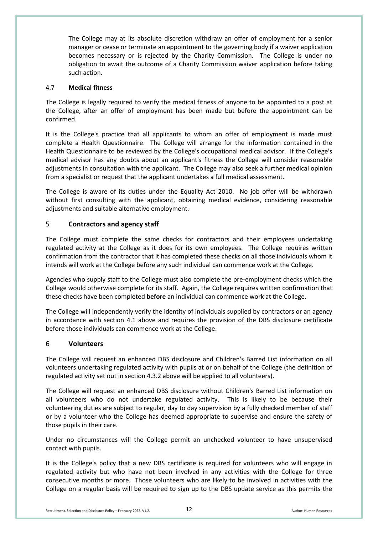The College may at its absolute discretion withdraw an offer of employment for a senior manager or cease or terminate an appointment to the governing body if a waiver application becomes necessary or is rejected by the Charity Commission. The College is under no obligation to await the outcome of a Charity Commission waiver application before taking such action.

#### 4.7 **Medical fitness**

The College is legally required to verify the medical fitness of anyone to be appointed to a post at the College, after an offer of employment has been made but before the appointment can be confirmed.

It is the College's practice that all applicants to whom an offer of employment is made must complete a Health Questionnaire. The College will arrange for the information contained in the Health Questionnaire to be reviewed by the College's occupational medical advisor. If the College's medical advisor has any doubts about an applicant's fitness the College will consider reasonable adjustments in consultation with the applicant. The College may also seek a further medical opinion from a specialist or request that the applicant undertakes a full medical assessment.

The College is aware of its duties under the Equality Act 2010. No job offer will be withdrawn without first consulting with the applicant, obtaining medical evidence, considering reasonable adjustments and suitable alternative employment.

# 5 **Contractors and agency staff**

The College must complete the same checks for contractors and their employees undertaking regulated activity at the College as it does for its own employees. The College requires written confirmation from the contractor that it has completed these checks on all those individuals whom it intends will work at the College before any such individual can commence work at the College.

Agencies who supply staff to the College must also complete the pre-employment checks which the College would otherwise complete for its staff. Again, the College requires written confirmation that these checks have been completed **before** an individual can commence work at the College.

The College will independently verify the identity of individuals supplied by contractors or an agency in accordance with section 4.1 above and requires the provision of the DBS disclosure certificate before those individuals can commence work at the College.

#### 6 **Volunteers**

The College will request an enhanced DBS disclosure and Children's Barred List information on all volunteers undertaking regulated activity with pupils at or on behalf of the College (the definition of regulated activity set out in section 4.3.2 above will be applied to all volunteers).

The College will request an enhanced DBS disclosure without Children's Barred List information on all volunteers who do not undertake regulated activity. This is likely to be because their volunteering duties are subject to regular, day to day supervision by a fully checked member of staff or by a volunteer who the College has deemed appropriate to supervise and ensure the safety of those pupils in their care.

Under no circumstances will the College permit an unchecked volunteer to have unsupervised contact with pupils.

It is the College's policy that a new DBS certificate is required for volunteers who will engage in regulated activity but who have not been involved in any activities with the College for three consecutive months or more. Those volunteers who are likely to be involved in activities with the College on a regular basis will be required to sign up to the DBS update service as this permits the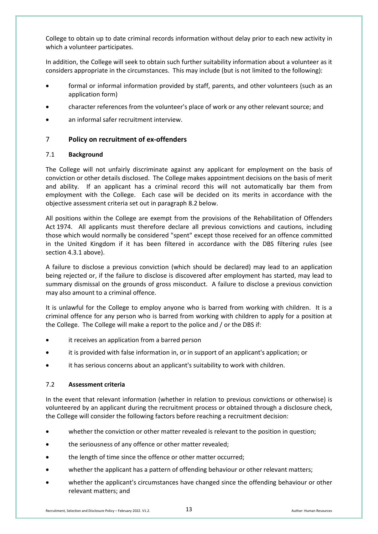College to obtain up to date criminal records information without delay prior to each new activity in which a volunteer participates.

In addition, the College will seek to obtain such further suitability information about a volunteer as it considers appropriate in the circumstances. This may include (but is not limited to the following):

- formal or informal information provided by staff, parents, and other volunteers (such as an application form)
- character references from the volunteer's place of work or any other relevant source; and
- an informal safer recruitment interview.

# 7 **Policy on recruitment of ex-offenders**

#### 7.1 **Background**

The College will not unfairly discriminate against any applicant for employment on the basis of conviction or other details disclosed. The College makes appointment decisions on the basis of merit and ability. If an applicant has a criminal record this will not automatically bar them from employment with the College. Each case will be decided on its merits in accordance with the objective assessment criteria set out in paragraph 8.2 below.

All positions within the College are exempt from the provisions of the Rehabilitation of Offenders Act 1974. All applicants must therefore declare all previous convictions and cautions, including those which would normally be considered "spent" except those received for an offence committed in the United Kingdom if it has been filtered in accordance with the DBS filtering rules (see section 4.3.1 above).

A failure to disclose a previous conviction (which should be declared) may lead to an application being rejected or, if the failure to disclose is discovered after employment has started, may lead to summary dismissal on the grounds of gross misconduct. A failure to disclose a previous conviction may also amount to a criminal offence.

It is unlawful for the College to employ anyone who is barred from working with children. It is a criminal offence for any person who is barred from working with children to apply for a position at the College. The College will make a report to the police and / or the DBS if:

- it receives an application from a barred person
- it is provided with false information in, or in support of an applicant's application; or
- it has serious concerns about an applicant's suitability to work with children.

#### 7.2 **Assessment criteria**

In the event that relevant information (whether in relation to previous convictions or otherwise) is volunteered by an applicant during the recruitment process or obtained through a disclosure check, the College will consider the following factors before reaching a recruitment decision:

- whether the conviction or other matter revealed is relevant to the position in question;
- the seriousness of any offence or other matter revealed;
- the length of time since the offence or other matter occurred;
- whether the applicant has a pattern of offending behaviour or other relevant matters;
- whether the applicant's circumstances have changed since the offending behaviour or other relevant matters; and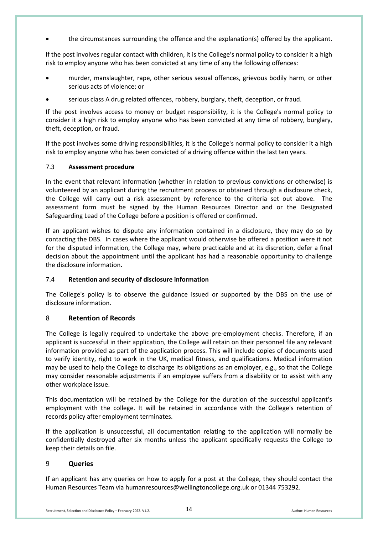• the circumstances surrounding the offence and the explanation(s) offered by the applicant.

If the post involves regular contact with children, it is the College's normal policy to consider it a high risk to employ anyone who has been convicted at any time of any the following offences:

- murder, manslaughter, rape, other serious sexual offences, grievous bodily harm, or other serious acts of violence; or
- serious class A drug related offences, robbery, burglary, theft, deception, or fraud.

If the post involves access to money or budget responsibility, it is the College's normal policy to consider it a high risk to employ anyone who has been convicted at any time of robbery, burglary, theft, deception, or fraud.

If the post involves some driving responsibilities, it is the College's normal policy to consider it a high risk to employ anyone who has been convicted of a driving offence within the last ten years.

#### 7.3 **Assessment procedure**

In the event that relevant information (whether in relation to previous convictions or otherwise) is volunteered by an applicant during the recruitment process or obtained through a disclosure check, the College will carry out a risk assessment by reference to the criteria set out above. The assessment form must be signed by the Human Resources Director and or the Designated Safeguarding Lead of the College before a position is offered or confirmed.

If an applicant wishes to dispute any information contained in a disclosure, they may do so by contacting the DBS. In cases where the applicant would otherwise be offered a position were it not for the disputed information, the College may, where practicable and at its discretion, defer a final decision about the appointment until the applicant has had a reasonable opportunity to challenge the disclosure information.

#### 7.4 **Retention and security of disclosure information**

The College's policy is to observe the guidance issued or supported by the DBS on the use of disclosure information.

# 8 **Retention of Records**

The College is legally required to undertake the above pre-employment checks. Therefore, if an applicant is successful in their application, the College will retain on their personnel file any relevant information provided as part of the application process. This will include copies of documents used to verify identity, right to work in the UK, medical fitness, and qualifications. Medical information may be used to help the College to discharge its obligations as an employer, e.g., so that the College may consider reasonable adjustments if an employee suffers from a disability or to assist with any other workplace issue.

This documentation will be retained by the College for the duration of the successful applicant's employment with the college. It will be retained in accordance with the College's retention of records policy after employment terminates.

If the application is unsuccessful, all documentation relating to the application will normally be confidentially destroyed after six months unless the applicant specifically requests the College to keep their details on file.

#### 9 **Queries**

If an applicant has any queries on how to apply for a post at the College, they should contact the Human Resources Team vi[a humanresources@wellingtoncollege.org.uk](mailto:humanresources@wellingtoncollege.org.uk) or 01344 753292.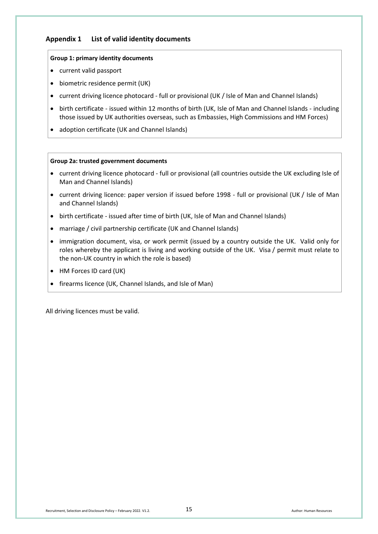# **Appendix 1 List of valid identity documents**

#### **Group 1: primary identity documents**

- current valid passport
- biometric residence permit (UK)
- current driving licence photocard full or provisional (UK / Isle of Man and Channel Islands)
- birth certificate issued within 12 months of birth (UK, Isle of Man and Channel Islands including those issued by UK authorities overseas, such as Embassies, High Commissions and HM Forces)
- adoption certificate (UK and Channel Islands)

#### **Group 2a: trusted government documents**

- current driving licence photocard full or provisional (all countries outside the UK excluding Isle of Man and Channel Islands)
- current driving licence: paper version if issued before 1998 full or provisional (UK / Isle of Man and Channel Islands)
- birth certificate issued after time of birth (UK, Isle of Man and Channel Islands)
- marriage / civil partnership certificate (UK and Channel Islands)
- immigration document, visa, or work permit (issued by a country outside the UK. Valid only for roles whereby the applicant is living and working outside of the UK. Visa / permit must relate to the non-UK country in which the role is based)
- HM Forces ID card (UK)
- firearms licence (UK, Channel Islands, and Isle of Man)

All driving licences must be valid.